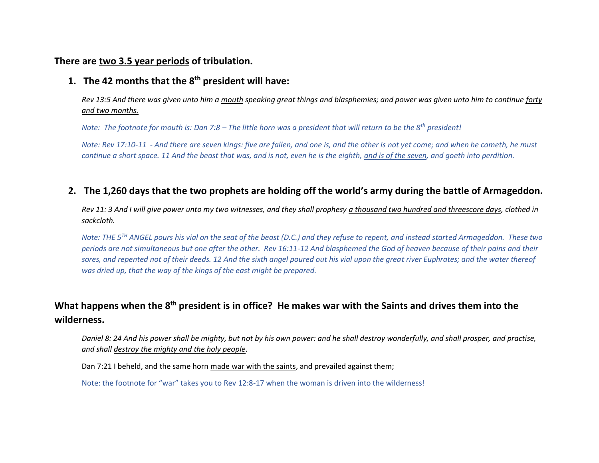#### **There are two 3.5 year periods of tribulation.**

#### **1. The 42 months that the 8th president will have:**

*Rev 13:5 And there was given unto him a mouth speaking great things and blasphemies; and power was given unto him to continue forty and two months.*

*Note: The footnote for mouth is: Dan 7:8 – The little horn was a president that will return to be the 8th president!* 

*Note: Rev 17:10-11 - And there are seven kings: five are fallen, and one is, and the other is not yet come; and when he cometh, he must continue a short space. 11 And the beast that was, and is not, even he is the eighth, and is of the seven, and goeth into perdition.*

#### **2. The 1,260 days that the two prophets are holding off the world's army during the battle of Armageddon.**

*Rev 11: 3 And I will give power unto my two witnesses, and they shall prophesy a thousand two hundred and threescore days, clothed in sackcloth.*

*Note: THE 5TH ANGEL pours his vial on the seat of the beast (D.C.) and they refuse to repent, and instead started Armageddon. These two periods are not simultaneous but one after the other. Rev 16:11-12 And blasphemed the God of heaven because of their pains and their sores, and repented not of their deeds. 12 And the sixth angel poured out his vial upon the great river Euphrates; and the water thereof was dried up, that the way of the kings of the east might be prepared.*

## **What happens when the 8th president is in office? He makes war with the Saints and drives them into the wilderness.**

*Daniel 8: 24 And his power shall be mighty, but not by his own power: and he shall destroy wonderfully, and shall prosper, and practise, and shall destroy the mighty and the holy people.*

Dan 7:21 I beheld, and the same horn made war with the saints, and prevailed against them;

Note: the footnote for "war" takes you to Rev 12:8-17 when the woman is driven into the wilderness!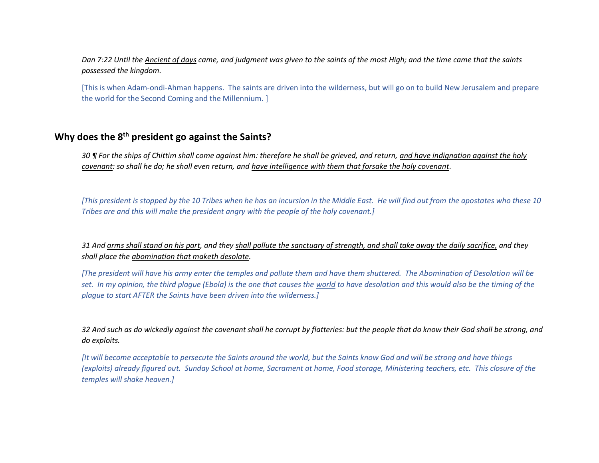*Dan 7:22 Until the Ancient of days came, and judgment was given to the saints of the most High; and the time came that the saints possessed the kingdom.*

[This is when Adam-ondi-Ahman happens. The saints are driven into the wilderness, but will go on to build New Jerusalem and prepare the world for the Second Coming and the Millennium. ]

#### **Why does the 8th president go against the Saints?**

*30 ¶ For the ships of Chittim shall come against him: therefore he shall be grieved, and return, and have indignation against the holy covenant: so shall he do; he shall even return, and have intelligence with them that forsake the holy covenant.*

*[This president is stopped by the 10 Tribes when he has an incursion in the Middle East. He will find out from the apostates who these 10 Tribes are and this will make the president angry with the people of the holy covenant.]*

*31 And arms shall stand on his part, and they shall pollute the sanctuary of strength, and shall take away the daily sacrifice, and they shall place the abomination that maketh desolate.*

*[The president will have his army enter the temples and pollute them and have them shuttered. The Abomination of Desolation will be*  set. In my opinion, the third plague (Ebola) is the one that causes the world to have desolation and this would also be the timing of the *plague to start AFTER the Saints have been driven into the wilderness.]*

*32 And such as do wickedly against the covenant shall he corrupt by flatteries: but the people that do know their God shall be strong, and do exploits.*

*[It will become acceptable to persecute the Saints around the world, but the Saints know God and will be strong and have things (exploits) already figured out. Sunday School at home, Sacrament at home, Food storage, Ministering teachers, etc. This closure of the temples will shake heaven.]*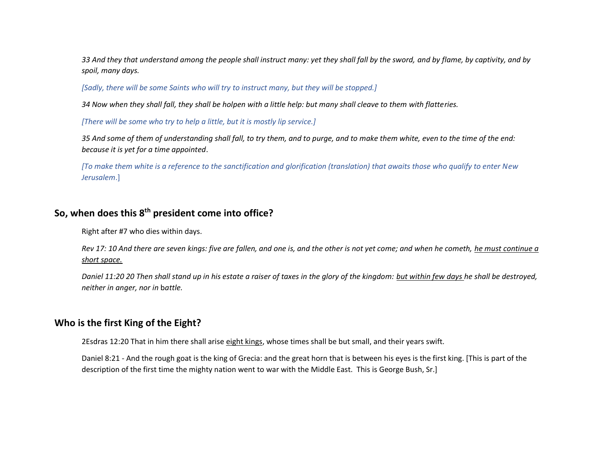*33 And they that understand among the people shall instruct many: yet they shall fall by the sword, and by flame, by captivity, and by spoil, many days.*

*[Sadly, there will be some Saints who will try to instruct many, but they will be stopped.]*

*34 Now when they shall fall, they shall be holpen with a little help: but many shall cleave to them with flatteries.*

*[There will be some who try to help a little, but it is mostly lip service.]*

*35 And some of them of understanding shall fall, to try them, and to purge, and to make them white, even to the time of the end: because it is yet for a time appointed*.

*[To make them white is a reference to the sanctification and glorification (translation) that awaits those who qualify to enter New Jerusalem*.]

### **So, when does this 8th president come into office?**

Right after #7 who dies within days.

*Rev 17: 10 And there are seven kings: five are fallen, and one is, and the other is not yet come; and when he cometh, he must continue a short space.*

*Daniel 11:20 20 Then shall stand up in his estate a raiser of taxes in the glory of the kingdom: but within few days he shall be destroyed, neither in anger, nor in* b*attle.*

#### **Who is the first King of the Eight?**

2Esdras 12:20 That in him there shall arise eight kings, whose times shall be but small, and their years swift.

Daniel 8:21 - And the rough goat is the king of Grecia: and the great horn that is between his eyes is the first king. [This is part of the description of the first time the mighty nation went to war with the Middle East. This is George Bush, Sr.]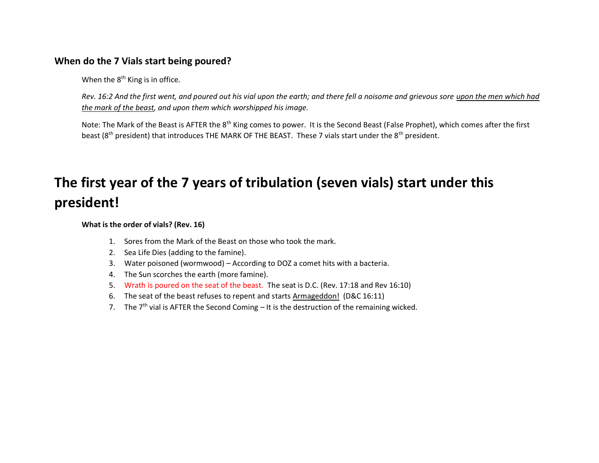#### **When do the 7 Vials start being poured?**

When the  $8<sup>th</sup>$  King is in office.

*Rev. 16:2 And the first went, and poured out his vial upon the earth; and there fell a noisome and grievous sore upon the men which had the mark of the beast, and upon them which worshipped his image.*

Note: The Mark of the Beast is AFTER the 8<sup>th</sup> King comes to power. It is the Second Beast (False Prophet), which comes after the first beast (8<sup>th</sup> president) that introduces THE MARK OF THE BEAST. These 7 vials start under the 8<sup>th</sup> president.

# **The first year of the 7 years of tribulation (seven vials) start under this president!**

**What is the order of vials? (Rev. 16)**

- 1. Sores from the Mark of the Beast on those who took the mark.
- 2. Sea Life Dies (adding to the famine).
- 3. Water poisoned (wormwood) According to DOZ a comet hits with a bacteria.
- 4. The Sun scorches the earth (more famine).
- 5. Wrath is poured on the seat of the beast. The seat is D.C. (Rev. 17:18 and Rev 16:10)
- 6. The seat of the beast refuses to repent and starts Armageddon! (D&C 16:11)
- 7. The  $7<sup>th</sup>$  vial is AFTER the Second Coming It is the destruction of the remaining wicked.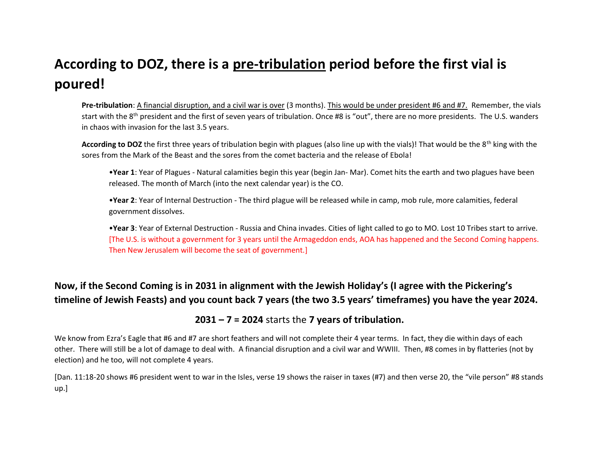## **According to DOZ, there is a pre-tribulation period before the first vial is poured!**

**Pre-tribulation**: A financial disruption, and a civil war is over (3 months). This would be under president #6 and #7. Remember, the vials start with the  $8<sup>th</sup>$  president and the first of seven years of tribulation. Once #8 is "out", there are no more presidents. The U.S. wanders in chaos with invasion for the last 3.5 years.

According to DOZ the first three years of tribulation begin with plagues (also line up with the vials)! That would be the 8<sup>th</sup> king with the sores from the Mark of the Beast and the sores from the comet bacteria and the release of Ebola!

•**Year 1**: Year of Plagues - Natural calamities begin this year (begin Jan- Mar). Comet hits the earth and two plagues have been released. The month of March (into the next calendar year) is the CO.

•**Year 2**: Year of Internal Destruction - The third plague will be released while in camp, mob rule, more calamities, federal government dissolves.

•**Year 3**: Year of External Destruction - Russia and China invades. Cities of light called to go to MO. Lost 10 Tribes start to arrive. [The U.S. is without a government for 3 years until the Armageddon ends, AOA has happened and the Second Coming happens. Then New Jerusalem will become the seat of government.]

## **Now, if the Second Coming is in 2031 in alignment with the Jewish Holiday's (I agree with the Pickering's timeline of Jewish Feasts) and you count back 7 years (the two 3.5 years' timeframes) you have the year 2024.**

### **2031 – 7 = 2024** starts the **7 years of tribulation.**

We know from Ezra's Eagle that #6 and #7 are short feathers and will not complete their 4 year terms. In fact, they die within days of each other. There will still be a lot of damage to deal with. A financial disruption and a civil war and WWIII. Then, #8 comes in by flatteries (not by election) and he too, will not complete 4 years.

[Dan. 11:18-20 shows #6 president went to war in the Isles, verse 19 shows the raiser in taxes (#7) and then verse 20, the "vile person" #8 stands up.]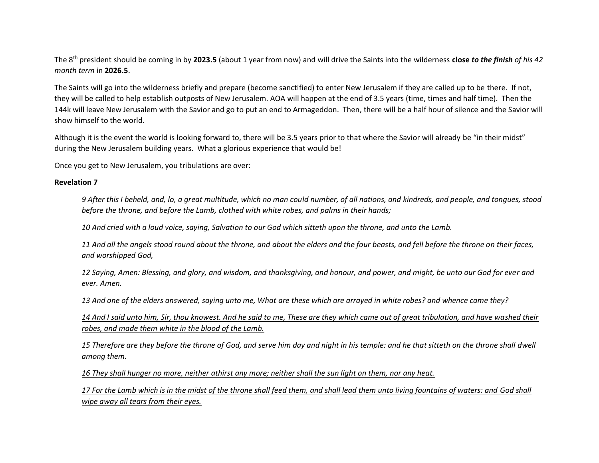The 8th president should be coming in by **2023.5** (about 1 year from now) and will drive the Saints into the wilderness **close** *to the finish of his 42 month term* in **2026.5**.

The Saints will go into the wilderness briefly and prepare (become sanctified) to enter New Jerusalem if they are called up to be there. If not, they will be called to help establish outposts of New Jerusalem. AOA will happen at the end of 3.5 years (time, times and half time). Then the 144k will leave New Jerusalem with the Savior and go to put an end to Armageddon. Then, there will be a half hour of silence and the Savior will show himself to the world.

Although it is the event the world is looking forward to, there will be 3.5 years prior to that where the Savior will already be "in their midst" during the New Jerusalem building years. What a glorious experience that would be!

Once you get to New Jerusalem, you tribulations are over:

#### **Revelation 7**

*9 After this I beheld, and, lo, a great multitude, which no man could number, of all nations, and kindreds, and people, and tongues, stood before the throne, and before the Lamb, clothed with white robes, and palms in their hands;*

*10 And cried with a loud voice, saying, Salvation to our God which sitteth upon the throne, and unto the Lamb.*

*11 And all the angels stood round about the throne, and about the elders and the four beasts, and fell before the throne on their faces, and worshipped God,*

*12 Saying, Amen: Blessing, and glory, and wisdom, and thanksgiving, and honour, and power, and might, be unto our God for ever and ever. Amen.*

*13 And one of the elders answered, saying unto me, What are these which are arrayed in white robes? and whence came they?*

*14 And I said unto him, Sir, thou knowest. And he said to me, These are they which came out of great tribulation, and have washed their robes, and made them white in the blood of the Lamb.*

*15 Therefore are they before the throne of God, and serve him day and night in his temple: and he that sitteth on the throne shall dwell among them.*

*16 They shall hunger no more, neither athirst any more; neither shall the sun light on them, nor any heat.*

*17 For the Lamb which is in the midst of the throne shall feed them, and shall lead them unto living fountains of waters: and God shall wipe away all tears from their eyes.*